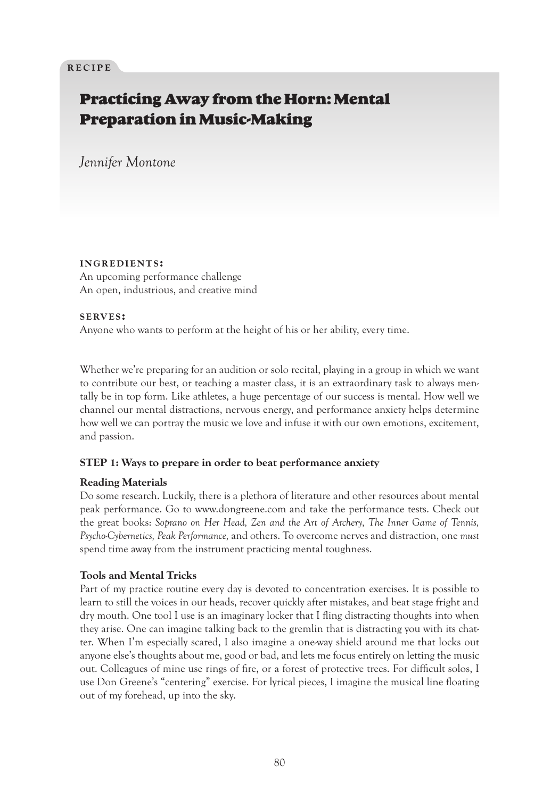# Practicing Away from the Horn: Mental Preparation in Music-Making

*Jennifer Montone*

#### **iNGREDIENTS:**

An upcoming performance challenge An open, industrious, and creative mind

#### **s e rv e s :**

Anyone who wants to perform at the height of his or her ability, every time.

Whether we're preparing for an audition or solo recital, playing in a group in which we want to contribute our best, or teaching a master class, it is an extraordinary task to always mentally be in top form. Like athletes, a huge percentage of our success is mental. How well we channel our mental distractions, nervous energy, and performance anxiety helps determine how well we can portray the music we love and infuse it with our own emotions, excitement, and passion.

# **STEP 1: Ways to prepare in order to beat performance anxiety**

#### **Reading Materials**

Do some research. Luckily, there is a plethora of literature and other resources about mental peak performance. Go to www.dongreene.com and take the performance tests. Check out the great books: *Soprano on Her Head, Zen and the Art of Archery, The Inner Game of Tennis, Psycho-Cybernetics, Peak Performance,* and others. To overcome nerves and distraction, one *must* spend time away from the instrument practicing mental toughness.

# **Tools and Mental Tricks**

Part of my practice routine every day is devoted to concentration exercises. It is possible to learn to still the voices in our heads, recover quickly after mistakes, and beat stage fright and dry mouth. One tool I use is an imaginary locker that I fling distracting thoughts into when they arise. One can imagine talking back to the gremlin that is distracting you with its chatter. When I'm especially scared, I also imagine a one-way shield around me that locks out anyone else's thoughts about me, good or bad, and lets me focus entirely on letting the music out. Colleagues of mine use rings of fire, or a forest of protective trees. For difficult solos, I use Don Greene's "centering" exercise. For lyrical pieces, I imagine the musical line floating out of my forehead, up into the sky.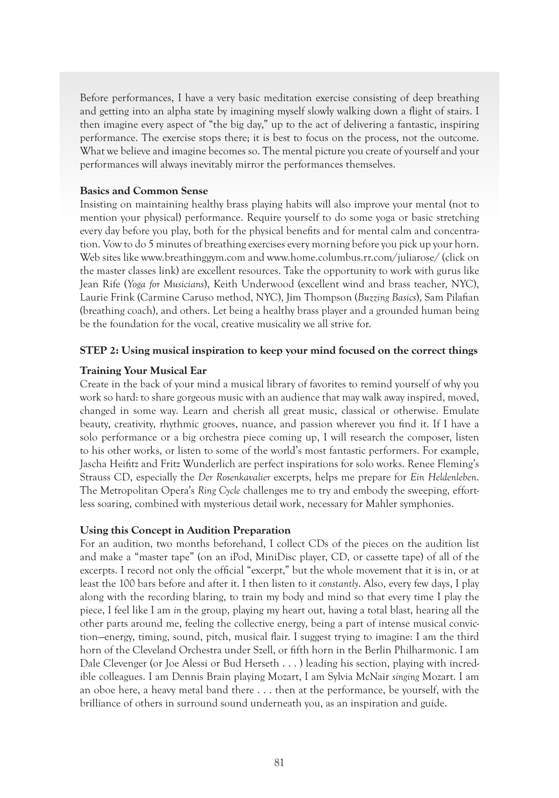Before performances, I have a very basic meditation exercise consisting of deep breathing and getting into an alpha state by imagining myself slowly walking down a flight of stairs. I then imagine every aspect of "the big day," up to the act of delivering a fantastic, inspiring performance. The exercise stops there; it is best to focus on the process, not the outcome. What we believe and imagine becomes so. The mental picture you create of yourself and your performances will always inevitably mirror the performances themselves.

#### **Basics and Common Sense**

Insisting on maintaining healthy brass playing habits will also improve your mental (not to mention your physical) performance. Require yourself to do some yoga or basic stretching every day before you play, both for the physical benefits and for mental calm and concentration. Vow to do 5 minutes of breathing exercises every morning before you pick up your horn. Web sites like www.breathinggym.com and www.home.columbus.rr.com/juliarose/ (click on the master classes link) are excellent resources. Take the opportunity to work with gurus like Jean Rife (*Yoga for Musicians*), Keith Underwood (excellent wind and brass teacher, NYC), Laurie Frink (Carmine Caruso method, NYC), Jim Thompson (*Buzzing Basics*), Sam Pilafian (breathing coach), and others. Let being a healthy brass player and a grounded human being be the foundation for the vocal, creative musicality we all strive for.

# **STEP 2: Using musical inspiration to keep your mind focused on the correct things**

# **Training Your Musical Ear**

Create in the back of your mind a musical library of favorites to remind yourself of why you work so hard: to share gorgeous music with an audience that may walk away inspired, moved, changed in some way. Learn and cherish all great music, classical or otherwise. Emulate beauty, creativity, rhythmic grooves, nuance, and passion wherever you find it. If I have a solo performance or a big orchestra piece coming up, I will research the composer, listen to his other works, or listen to some of the world's most fantastic performers. For example, Jascha Heifitz and Fritz Wunderlich are perfect inspirations for solo works. Renee Fleming's Strauss CD, especially the *Der Rosenkavalier* excerpts, helps me prepare for *Ein Heldenleben*. The Metropolitan Opera's *Ring Cycle* challenges me to try and embody the sweeping, effortless soaring, combined with mysterious detail work, necessary for Mahler symphonies.

# **Using this Concept in Audition Preparation**

For an audition, two months beforehand, I collect CDs of the pieces on the audition list and make a "master tape" (on an iPod, MiniDisc player, CD, or cassette tape) of all of the excerpts. I record not only the official "excerpt," but the whole movement that it is in, or at least the 100 bars before and after it. I then listen to it *constantly*. Also, every few days, I play along with the recording blaring, to train my body and mind so that every time I play the piece, I feel like I am *in* the group, playing my heart out, having a total blast, hearing all the other parts around me, feeling the collective energy, being a part of intense musical conviction—energy, timing, sound, pitch, musical flair. I suggest trying to imagine: I am the third horn of the Cleveland Orchestra under Szell, or fifth horn in the Berlin Philharmonic. I am Dale Clevenger (or Joe Alessi or Bud Herseth . . . ) leading his section, playing with incredible colleagues. I am Dennis Brain playing Mozart, I am Sylvia McNair *singing* Mozart. I am an oboe here, a heavy metal band there . . . then at the performance, be yourself, with the brilliance of others in surround sound underneath you, as an inspiration and guide.